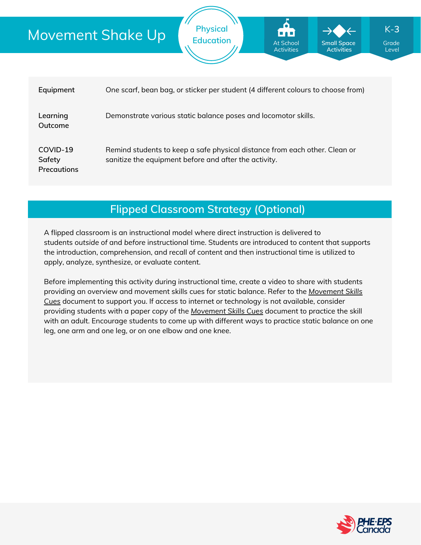# Movement Shake Up

| Equipment                                | One scarf, bean bag, or sticker per student (4 different colours to choose from)                                                    |
|------------------------------------------|-------------------------------------------------------------------------------------------------------------------------------------|
| Learning<br>Outcome                      | Demonstrate various static balance poses and locomotor skills.                                                                      |
| COVID-19<br>Safety<br><b>Precautions</b> | Remind students to keep a safe physical distance from each other. Clean or<br>sanitize the equipment before and after the activity. |

**Physical**

**Education Grade** At School **Grade** Grade

At School Activities **Small Space Activities**

Level

K-**3**

**Flipped Classroom Strategy (Optional)**

A flipped classroom is an instructional model where direct instruction is delivered to students *outside of* and *before* instructional time. Students are introduced to content that supports the introduction, comprehension, and recall of content and then instructional time is utilized to apply, analyze, synthesize, or evaluate content.

Before implementing this activity during instructional time, create a video to share with students providing an overview and movement skills cues for static balance. Refer to the *Movement Skills Cues* document to support you. If access to internet or [technology](https://phecanada.ca/sites/default/files/content/docs/Home%20Learning%20Resource/Movement%20Cues/Movement%20Skills%20Cues%201.pdf) is not available, consider providing students with a paper copy of the *[Movement](https://phecanada.ca/sites/default/files/content/docs/Home%20Learning%20Resource/Movement%20Cues/Movement%20Skills%20Cues%201.pdf) Skills Cues* document to practice the skill with an adult. Encourage students to come up with different ways to practice static balance on one leg, one arm and one leg, or on one elbow and one knee.

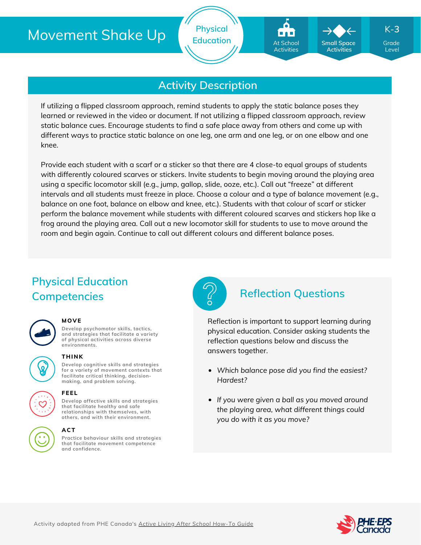

K-**3**

**Small Space Activities**

Level

## **Activity Description**

**Physical**

If utilizing a flipped classroom approach, remind students to apply the static balance poses they learned or reviewed in the video or document. If not utilizing a flipped classroom approach, review static balance cues. Encourage students to find a safe place away from others and come up with different ways to practice static balance on one leg, one arm and one leg, or on one elbow and one knee.

Provide each student with a scarf or a sticker so that there are 4 close-to equal groups of students with differently coloured scarves or stickers. Invite students to begin moving around the playing area using a specific locomotor skill (e.g., jump, gallop, slide, ooze, etc.). Call out "freeze" at different intervals and all students must freeze in place. Choose a colour and a type of balance movement (e.g., balance on one foot, balance on elbow and knee, etc.). Students with that colour of scarf or sticker perform the balance movement while students with different coloured scarves and stickers hop like a frog around the playing area. Call out a new locomotor skill for students to use to move around the room and begin again. Continue to call out different colours and different balance poses.

# **Physical Education Competencies Reflection Questions**



## **MOVE**

**Develop psychomotor skills, tactics, and strategies that facilitate a variety of physical activities across diverse environments.**



### **THINK**

**Develop cognitive skills and strategies for a variety of movement contexts that facilitate critical thinking, decision making, and problem solving.**

**Develop affective skills and strategies that facilitate healthy and safe relationships with themselves, with**





## **others, and with their environment.**

**FEEL**

**Practice behaviour skills and strategies that facilitate movement competence and confidence. ACT**



Reflection is important to support learning during physical education. Consider asking students the reflection questions below and discuss the answers together.

- *Which balance pose did you find the easiest? Hardest?*
- *If you were given a ball as you moved around the playing area, what different things could you do with it as you move?*